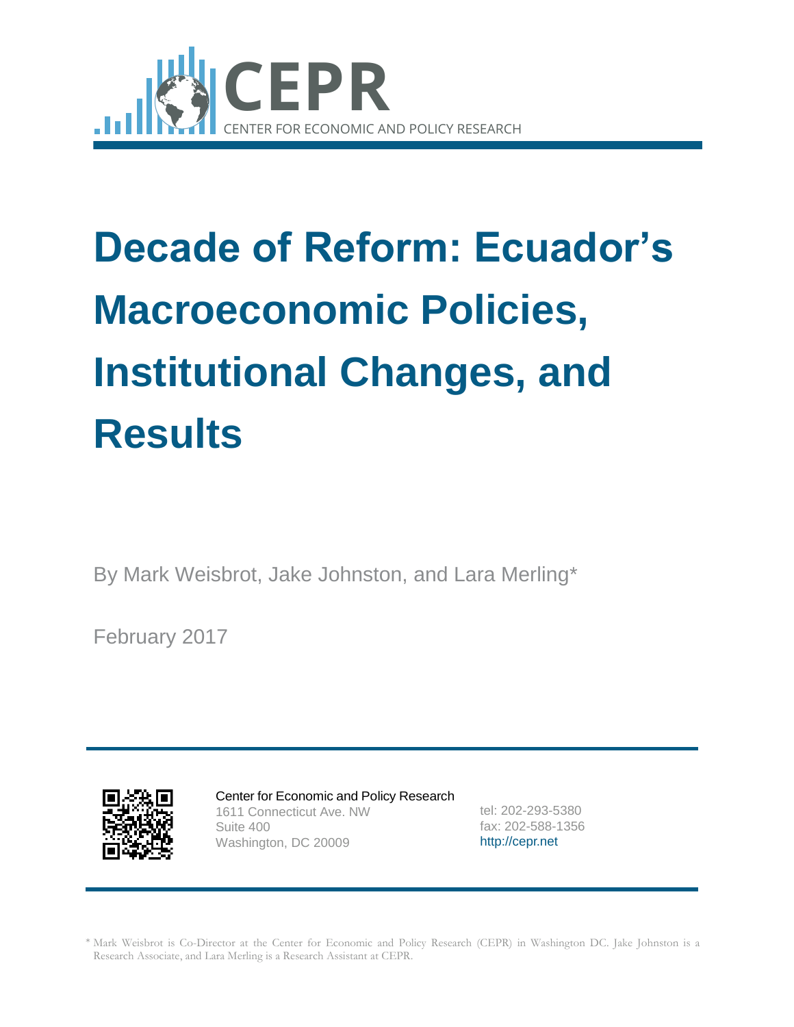

# **Results**<br> **Results**<br> **Results**<br> **Results**<br> **Results**<br> **Results**<br> **Results**<br> **Results**<br> **Results**<br> **Results**<br> **Results**<br> **CEPR. CEPR. AND CONDECTS**<br> **CEPR. AND CONDECTS**<br> **CEPR. AND CONDECTS**<br> **CEPR. AND CONDECTS**<br> **CEPR. Decade of Reform: Ecuador's Macroeconomic Policies, Institutional Changes, and Results**

By Mark Weisbrot, Jake Johnston, and Lara Merling\*

February 2017



Center for Economic and Policy Research 1611 Connecticut Ave. NW Suite 400 Washington, DC 20009

tel: 202-293-5380 fax: 202-588-1356 [http://cepr.net](http://cepr.net/)

Mark Weisbrot is Co-Director at the Center for Economic and Policy Research (CEPR) in Washington DC. Jake Johnston is a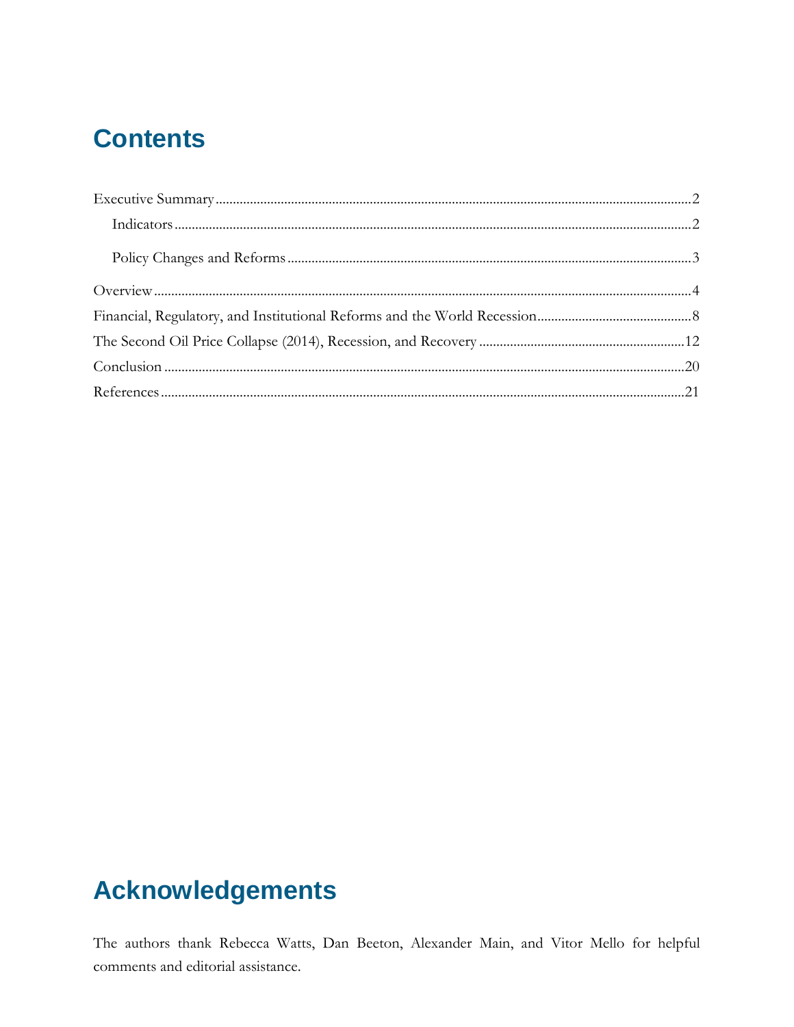# **Contents**

# **Acknowledgements**

The authors thank Rebecca Watts, Dan Beeton, Alexander Main, and Vitor Mello for helpful comments and editorial assistance.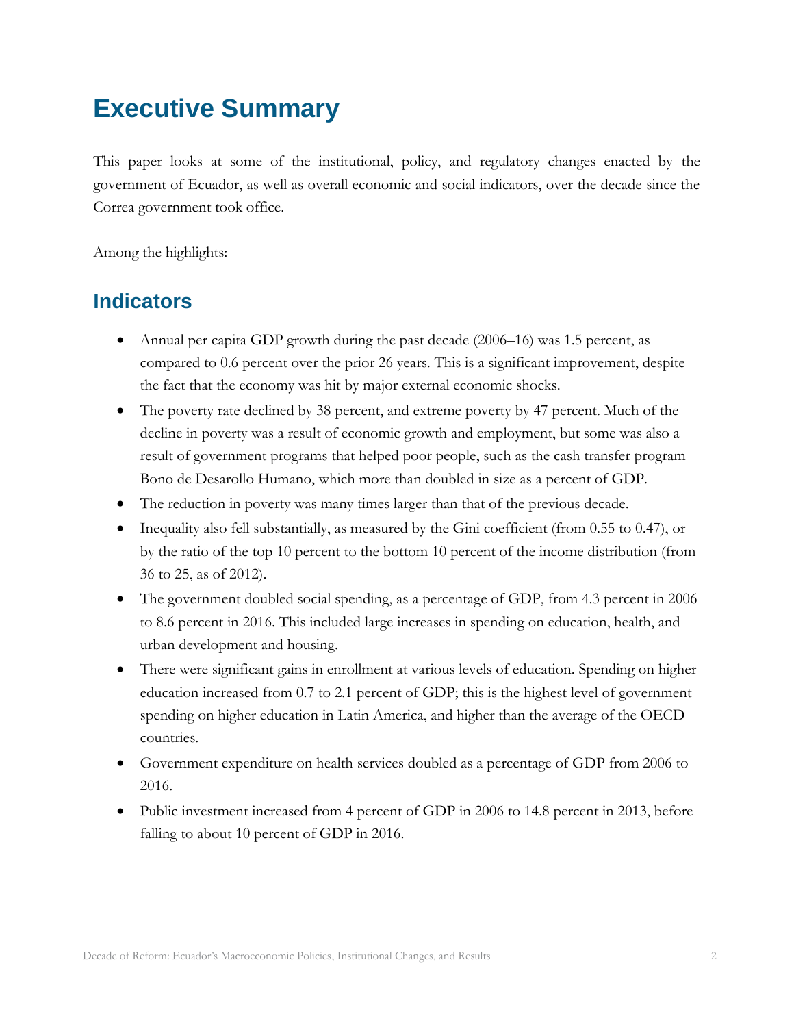# <span id="page-2-0"></span>**Executive Summary**

This paper looks at some of the institutional, policy, and regulatory changes enacted by the government of Ecuador, as well as overall economic and social indicators, over the decade since the Correa government took office.

Among the highlights:

#### <span id="page-2-1"></span>**Indicators**

- Annual per capita GDP growth during the past decade (2006–16) was 1.5 percent, as compared to 0.6 percent over the prior 26 years. This is a significant improvement, despite the fact that the economy was hit by major external economic shocks.
- The poverty rate declined by 38 percent, and extreme poverty by 47 percent. Much of the decline in poverty was a result of economic growth and employment, but some was also a result of government programs that helped poor people, such as the cash transfer program Bono de Desarollo Humano, which more than doubled in size as a percent of GDP.
- The reduction in poverty was many times larger than that of the previous decade.
- Inequality also fell substantially, as measured by the Gini coefficient (from 0.55 to 0.47), or by the ratio of the top 10 percent to the bottom 10 percent of the income distribution (from 36 to 25, as of 2012).
- The government doubled social spending, as a percentage of GDP, from 4.3 percent in 2006 to 8.6 percent in 2016. This included large increases in spending on education, health, and urban development and housing.
- There were significant gains in enrollment at various levels of education. Spending on higher education increased from 0.7 to 2.1 percent of GDP; this is the highest level of government spending on higher education in Latin America, and higher than the average of the OECD countries.
- Government expenditure on health services doubled as a percentage of GDP from 2006 to 2016.
- Public investment increased from 4 percent of GDP in 2006 to 14.8 percent in 2013, before falling to about 10 percent of GDP in 2016.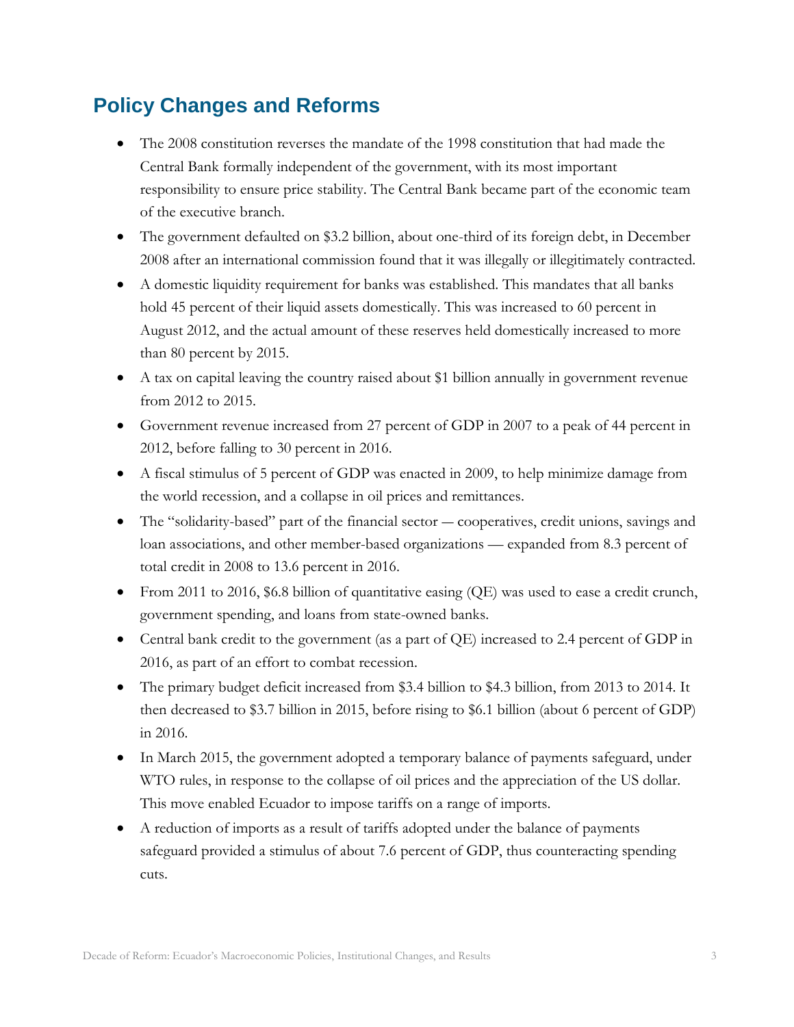#### <span id="page-3-0"></span>**Policy Changes and Reforms**

- The 2008 constitution reverses the mandate of the 1998 constitution that had made the Central Bank formally independent of the government, with its most important responsibility to ensure price stability. The Central Bank became part of the economic team of the executive branch.
- The government defaulted on \$3.2 billion, about one-third of its foreign debt, in December 2008 after an international commission found that it was illegally or illegitimately contracted.
- A domestic liquidity requirement for banks was established. This mandates that all banks hold 45 percent of their liquid assets domestically. This was increased to 60 percent in August 2012, and the actual amount of these reserves held domestically increased to more than 80 percent by 2015.
- A tax on capital leaving the country raised about \$1 billion annually in government revenue from 2012 to 2015.
- Government revenue increased from 27 percent of GDP in 2007 to a peak of 44 percent in 2012, before falling to 30 percent in 2016.
- A fiscal stimulus of 5 percent of GDP was enacted in 2009, to help minimize damage from the world recession, and a collapse in oil prices and remittances.
- The "solidarity-based" part of the financial sector cooperatives, credit unions, savings and loan associations, and other member-based organizations — expanded from 8.3 percent of total credit in 2008 to 13.6 percent in 2016.
- From 2011 to 2016, \$6.8 billion of quantitative easing (QE) was used to ease a credit crunch, government spending, and loans from state-owned banks.
- Central bank credit to the government (as a part of QE) increased to 2.4 percent of GDP in 2016, as part of an effort to combat recession.
- The primary budget deficit increased from \$3.4 billion to \$4.3 billion, from 2013 to 2014. It then decreased to \$3.7 billion in 2015, before rising to \$6.1 billion (about 6 percent of GDP) in 2016.
- In March 2015, the government adopted a temporary balance of payments safeguard, under WTO rules, in response to the collapse of oil prices and the appreciation of the US dollar. This move enabled Ecuador to impose tariffs on a range of imports.
- A reduction of imports as a result of tariffs adopted under the balance of payments safeguard provided a stimulus of about 7.6 percent of GDP, thus counteracting spending cuts.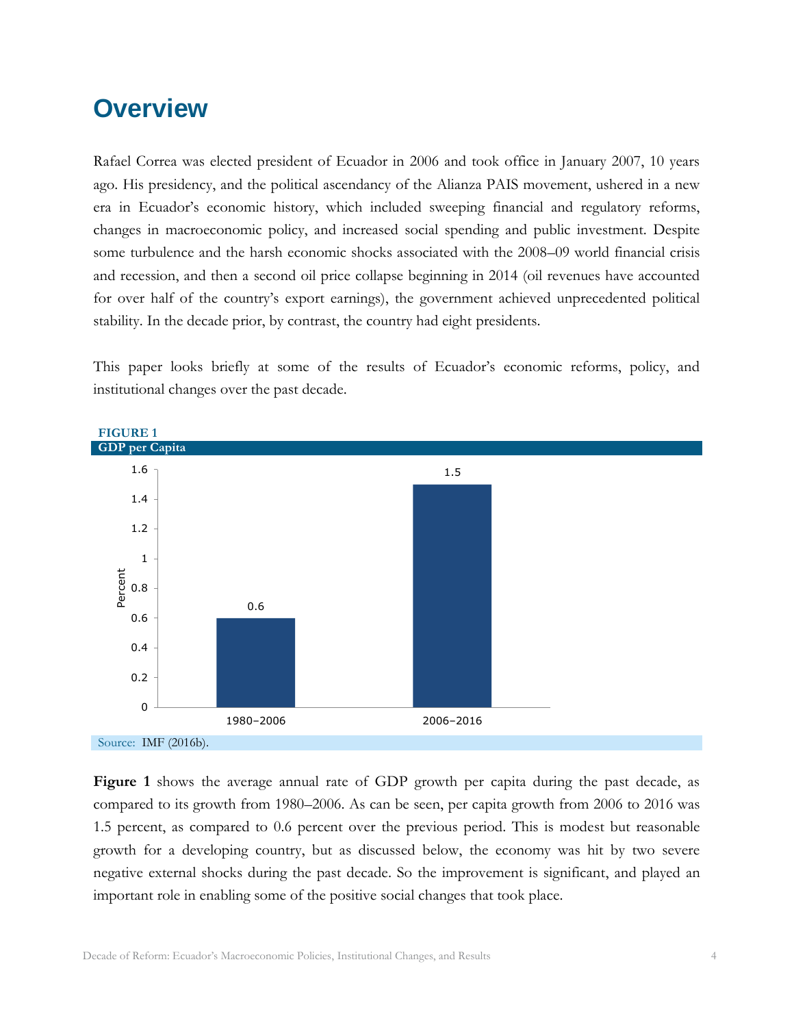### <span id="page-4-0"></span>**Overview**

Rafael Correa was elected president of Ecuador in 2006 and took office in January 2007, 10 years ago. His presidency, and the political ascendancy of the Alianza PAIS movement, ushered in a new era in Ecuador's economic history, which included sweeping financial and regulatory reforms, changes in macroeconomic policy, and increased social spending and public investment. Despite some turbulence and the harsh economic shocks associated with the 2008–09 world financial crisis and recession, and then a second oil price collapse beginning in 2014 (oil revenues have accounted for over half of the country's export earnings), the government achieved unprecedented political stability. In the decade prior, by contrast, the country had eight presidents.

This paper looks briefly at some of the results of Ecuador's economic reforms, policy, and institutional changes over the past decade.



**Figure 1** shows the average annual rate of GDP growth per capita during the past decade, as compared to its growth from 1980–2006. As can be seen, per capita growth from 2006 to 2016 was 1.5 percent, as compared to 0.6 percent over the previous period. This is modest but reasonable growth for a developing country, but as discussed below, the economy was hit by two severe negative external shocks during the past decade. So the improvement is significant, and played an important role in enabling some of the positive social changes that took place.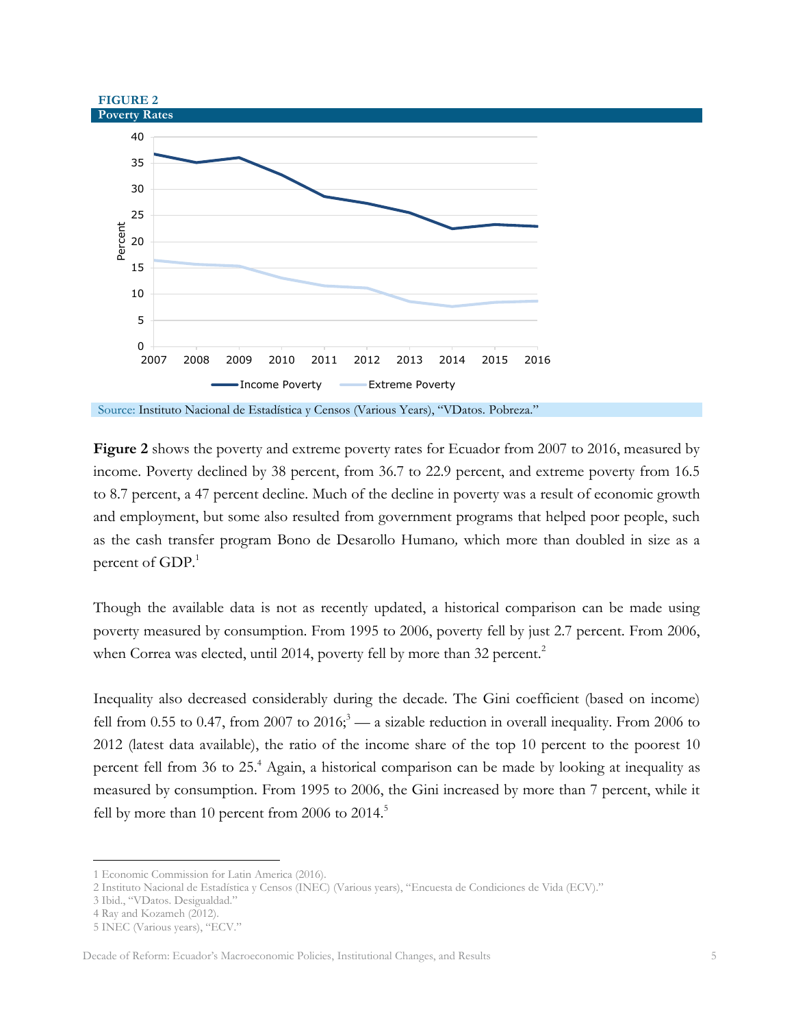

**Figure 2** shows the poverty and extreme poverty rates for Ecuador from 2007 to 2016, measured by income. Poverty declined by 38 percent, from 36.7 to 22.9 percent, and extreme poverty from 16.5 to 8.7 percent, a 47 percent decline. Much of the decline in poverty was a result of economic growth and employment, but some also resulted from government programs that helped poor people, such as the cash transfer program Bono de Desarollo Humano*,* which more than doubled in size as a percent of GDP.<sup>1</sup>

Though the available data is not as recently updated, a historical comparison can be made using poverty measured by consumption. From 1995 to 2006, poverty fell by just 2.7 percent. From 2006, when Correa was elected, until 2014, poverty fell by more than 32 percent.<sup>2</sup>

Inequality also decreased considerably during the decade. The Gini coefficient (based on income) fell from 0.55 to 0.47, from 2007 to 2016;<sup>3</sup> — a sizable reduction in overall inequality. From 2006 to 2012 (latest data available), the ratio of the income share of the top 10 percent to the poorest 10 percent fell from 36 to 25.<sup>4</sup> Again, a historical comparison can be made by looking at inequality as measured by consumption. From 1995 to 2006, the Gini increased by more than 7 percent, while it fell by more than 10 percent from 2006 to  $2014$ <sup>5</sup>

<sup>1</sup> Economic Commission for Latin America (2016).

<sup>2</sup> Instituto Nacional de Estadística y Censos (INEC) (Various years), "Encuesta de Condiciones de Vida (ECV)."

<sup>3</sup> Ibid., "VDatos. Desigualdad."

<sup>4</sup> Ray and Kozameh (2012).

<sup>5</sup> INEC (Various years), "ECV."

Decade of Reform: Ecuador's Macroeconomic Policies, Institutional Changes, and Results 5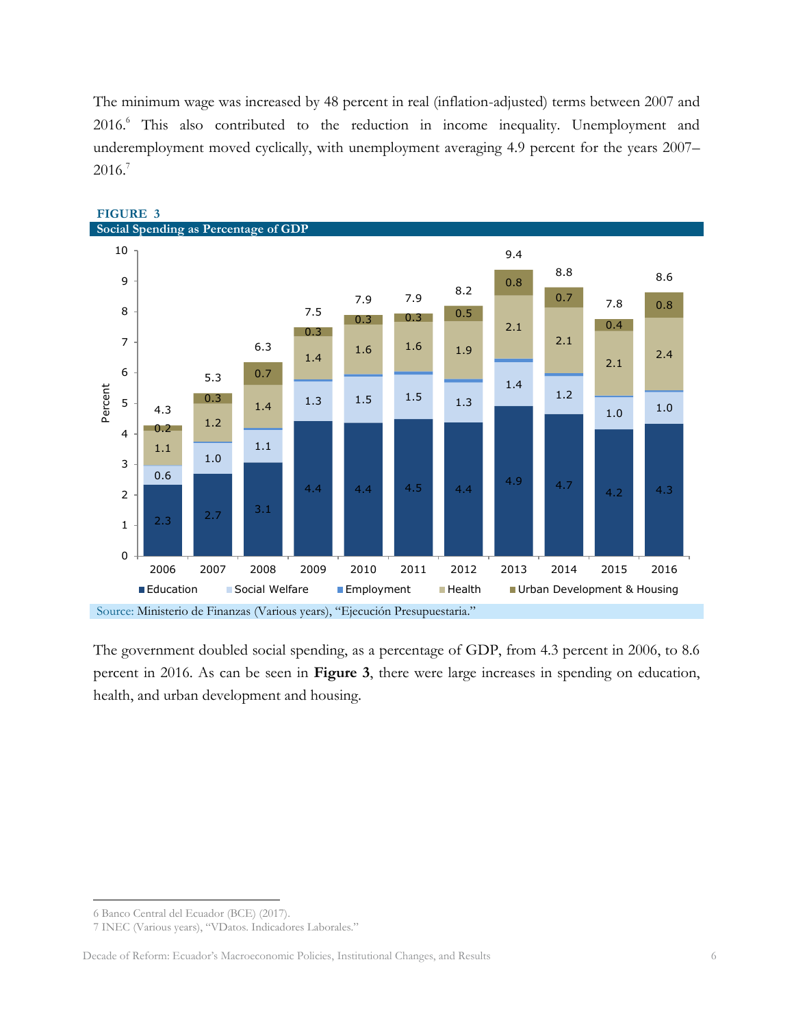The minimum wage was increased by 48 percent in real (inflation-adjusted) terms between 2007 and 2016.<sup>6</sup> This also contributed to the reduction in income inequality. Unemployment and underemployment moved cyclically, with unemployment averaging 4.9 percent for the years 2007– 2016. 7



#### **FIGURE 3**

The government doubled social spending, as a percentage of GDP, from 4.3 percent in 2006, to 8.6 percent in 2016. As can be seen in **Figure 3**, there were large increases in spending on education, health, and urban development and housing.

 $\overline{a}$ 6 Banco Central del Ecuador (BCE) (2017).

<sup>7</sup> INEC (Various years), "VDatos. Indicadores Laborales."

Decade of Reform: Ecuador's Macroeconomic Policies, Institutional Changes, and Results 6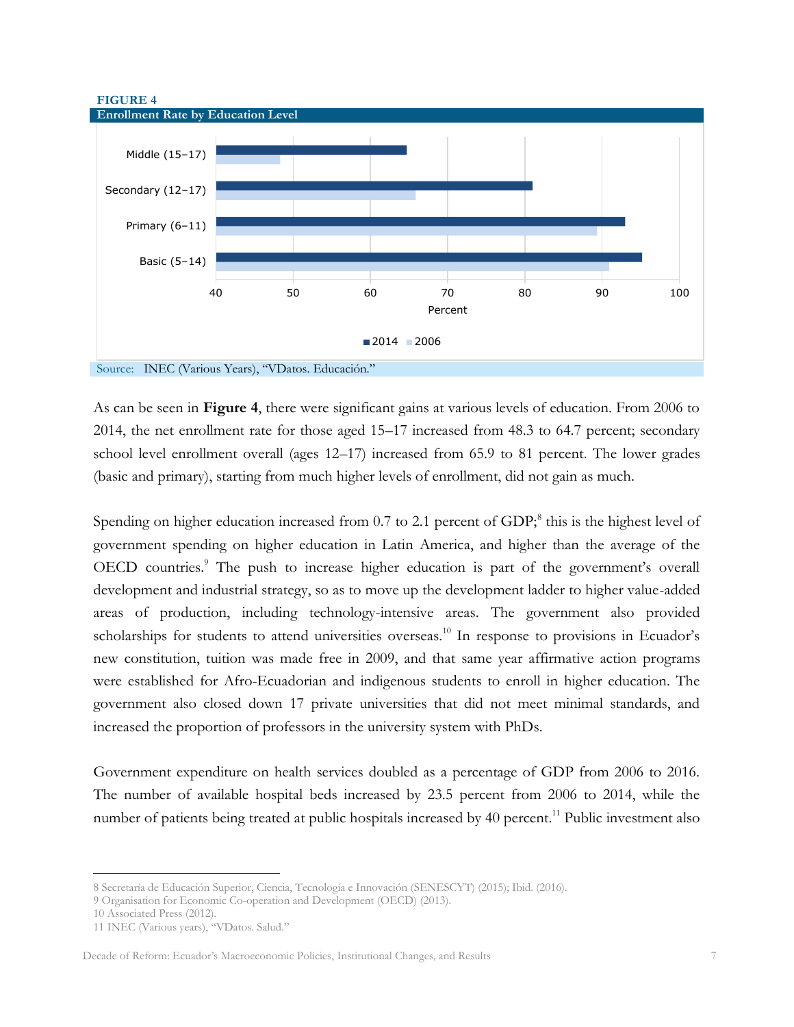



As can be seen in **Figure 4**, there were significant gains at various levels of education. From 2006 to 2014, the net enrollment rate for those aged 15–17 increased from 48.3 to 64.7 percent; secondary school level enrollment overall (ages 12–17) increased from 65.9 to 81 percent. The lower grades (basic and primary), starting from much higher levels of enrollment, did not gain as much.

Spending on higher education increased from 0.7 to 2.1 percent of GDP,<sup>8</sup> this is the highest level of government spending on higher education in Latin America, and higher than the average of the OECD countries.<sup>9</sup> The push to increase higher education is part of the government's overall development and industrial strategy, so as to move up the development ladder to higher value-added areas of production, including technology-intensive areas. The government also provided scholarships for students to attend universities overseas.<sup>10</sup> In response to provisions in Ecuador's new constitution, tuition was made free in 2009, and that same year affirmative action programs were established for Afro-Ecuadorian and indigenous students to enroll in higher education. The government also closed down 17 private universities that did not meet minimal standards, and increased the proportion of professors in the university system with PhDs.

Government expenditure on health services doubled as a percentage of GDP from 2006 to 2016. The number of available hospital beds increased by 23.5 percent from 2006 to 2014, while the number of patients being treated at public hospitals increased by 40 percent.<sup>11</sup> Public investment also

 $\overline{a}$ 8 Secretaría de Educación Superior, Ciencia, Tecnología e Innovación (SENESCYT) (2015); Ibid. (2016).

<sup>9</sup> Organisation for Economic Co-operation and Development (OECD) (2013).

<sup>10</sup> Associated Press (2012).

<sup>11</sup> INEC (Various years), "VDatos. Salud."

Decade of Reform: Ecuador's Macroeconomic Policies, Institutional Changes, and Results 7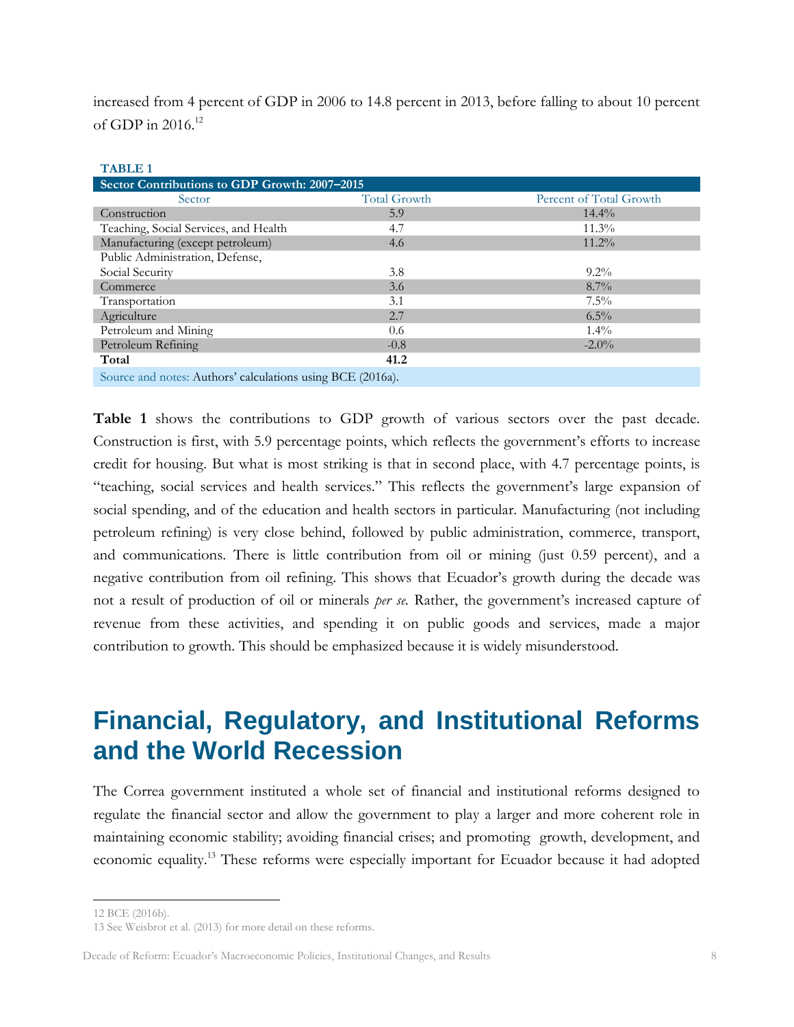increased from 4 percent of GDP in 2006 to 14.8 percent in 2013, before falling to about 10 percent of GDP in 2016.<sup>12</sup>

| TADLE I                                                    |                     |                         |  |  |  |  |  |  |  |
|------------------------------------------------------------|---------------------|-------------------------|--|--|--|--|--|--|--|
| Sector Contributions to GDP Growth: 2007-2015              |                     |                         |  |  |  |  |  |  |  |
| Sector                                                     | <b>Total Growth</b> | Percent of Total Growth |  |  |  |  |  |  |  |
| Construction                                               | 5.9                 | $14.4\%$                |  |  |  |  |  |  |  |
| Teaching, Social Services, and Health                      | 4.7                 | $11.3\%$                |  |  |  |  |  |  |  |
| Manufacturing (except petroleum)                           | 4.6                 | $11.2\%$                |  |  |  |  |  |  |  |
| Public Administration, Defense,                            |                     |                         |  |  |  |  |  |  |  |
| Social Security                                            | 3.8                 | $9.2\%$                 |  |  |  |  |  |  |  |
| Commerce                                                   | 3.6                 | $8.7\%$                 |  |  |  |  |  |  |  |
| Transportation                                             | 3.1                 | $7.5\%$                 |  |  |  |  |  |  |  |
| Agriculture                                                | 2.7                 | $6.5\%$                 |  |  |  |  |  |  |  |
| Petroleum and Mining                                       | 0.6                 | $1.4\%$                 |  |  |  |  |  |  |  |
| Petroleum Refining                                         | $-0.8$              | $-2.0\%$                |  |  |  |  |  |  |  |
| Total                                                      | 41.2                |                         |  |  |  |  |  |  |  |
| Source and notes: Authors' calculations using BCE (2016a). |                     |                         |  |  |  |  |  |  |  |

**Table 1** shows the contributions to GDP growth of various sectors over the past decade. Construction is first, with 5.9 percentage points, which reflects the government's efforts to increase credit for housing. But what is most striking is that in second place, with 4.7 percentage points, is "teaching, social services and health services." This reflects the government's large expansion of social spending, and of the education and health sectors in particular. Manufacturing (not including petroleum refining) is very close behind, followed by public administration, commerce, transport, and communications. There is little contribution from oil or mining (just 0.59 percent), and a negative contribution from oil refining. This shows that Ecuador's growth during the decade was not a result of production of oil or minerals *per se.* Rather, the government's increased capture of revenue from these activities, and spending it on public goods and services, made a major contribution to growth. This should be emphasized because it is widely misunderstood.

# <span id="page-8-0"></span>**Financial, Regulatory, and Institutional Reforms and the World Recession**

The Correa government instituted a whole set of financial and institutional reforms designed to regulate the financial sector and allow the government to play a larger and more coherent role in maintaining economic stability; avoiding financial crises; and promoting growth, development, and economic equality.<sup>13</sup> These reforms were especially important for Ecuador because it had adopted

 $\overline{a}$ 

**TABLE 1**

<sup>12</sup> BCE (2016b).

<sup>13</sup> See Weisbrot et al. (2013) for more detail on these reforms.

Decade of Reform: Ecuador's Macroeconomic Policies, Institutional Changes, and Results 8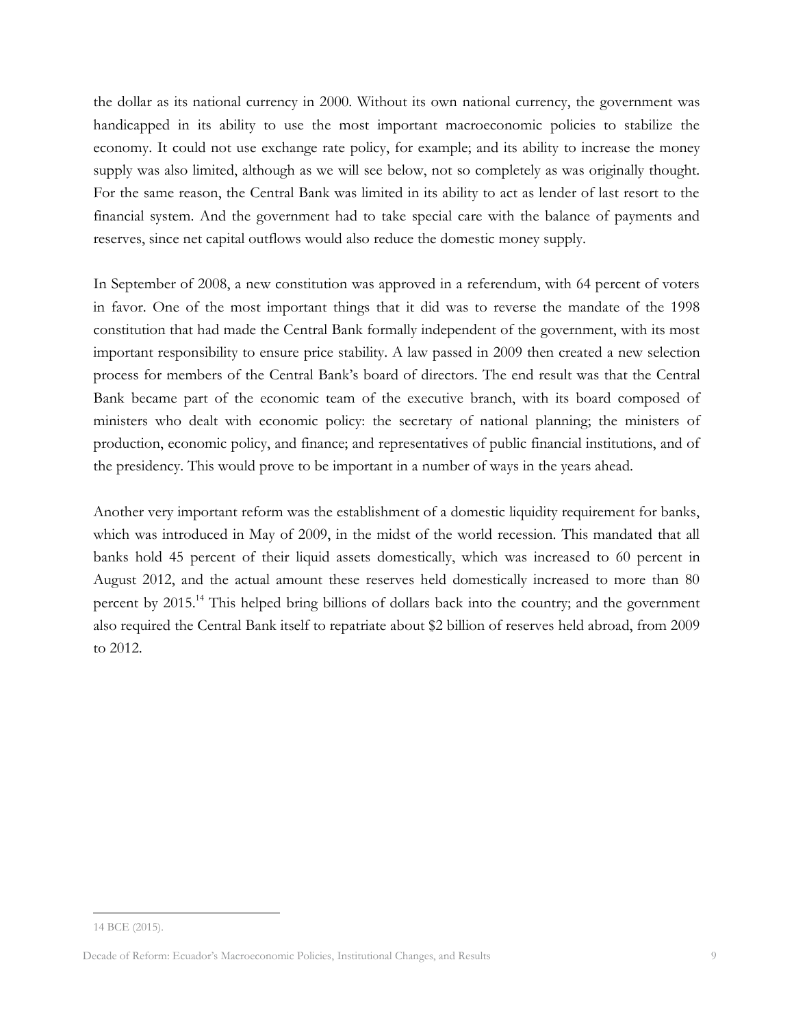the dollar as its national currency in 2000. Without its own national currency, the government was handicapped in its ability to use the most important macroeconomic policies to stabilize the economy. It could not use exchange rate policy, for example; and its ability to increase the money supply was also limited, although as we will see below, not so completely as was originally thought. For the same reason, the Central Bank was limited in its ability to act as lender of last resort to the financial system. And the government had to take special care with the balance of payments and reserves, since net capital outflows would also reduce the domestic money supply.

In September of 2008, a new constitution was approved in a referendum, with 64 percent of voters in favor. One of the most important things that it did was to reverse the mandate of the 1998 constitution that had made the Central Bank formally independent of the government, with its most important responsibility to ensure price stability. A law passed in 2009 then created a new selection process for members of the Central Bank's board of directors. The end result was that the Central Bank became part of the economic team of the executive branch, with its board composed of ministers who dealt with economic policy: the secretary of national planning; the ministers of production, economic policy, and finance; and representatives of public financial institutions, and of the presidency. This would prove to be important in a number of ways in the years ahead.

Another very important reform was the establishment of a domestic liquidity requirement for banks, which was introduced in May of 2009, in the midst of the world recession. This mandated that all banks hold 45 percent of their liquid assets domestically, which was increased to 60 percent in August 2012, and the actual amount these reserves held domestically increased to more than 80 percent by 2015.<sup>14</sup> This helped bring billions of dollars back into the country; and the government also required the Central Bank itself to repatriate about \$2 billion of reserves held abroad, from 2009 to 2012.

<sup>14</sup> BCE (2015).

Decade of Reform: Ecuador's Macroeconomic Policies, Institutional Changes, and Results 9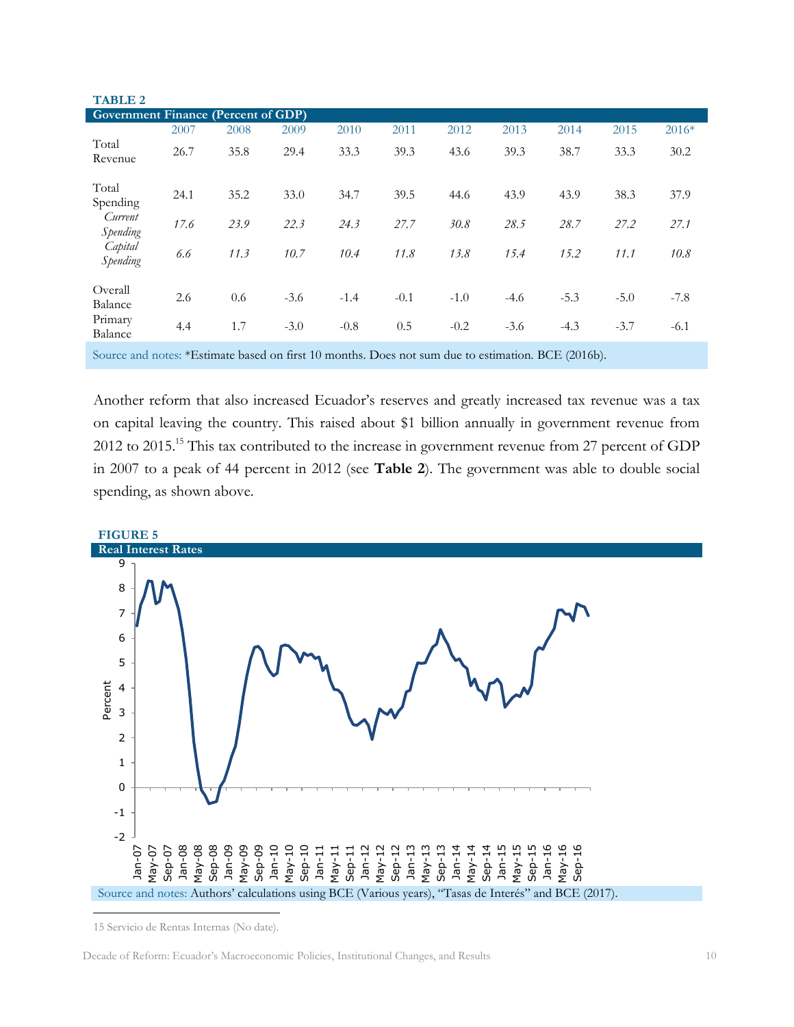| <b>TABLE 2</b>                             |      |      |        |        |        |        |        |        |        |         |
|--------------------------------------------|------|------|--------|--------|--------|--------|--------|--------|--------|---------|
| <b>Government Finance (Percent of GDP)</b> |      |      |        |        |        |        |        |        |        |         |
|                                            | 2007 | 2008 | 2009   | 2010   | 2011   | 2012   | 2013   | 2014   | 2015   | $2016*$ |
| Total<br>Revenue                           | 26.7 | 35.8 | 29.4   | 33.3   | 39.3   | 43.6   | 39.3   | 38.7   | 33.3   | 30.2    |
| Total<br>Spending                          | 24.1 | 35.2 | 33.0   | 34.7   | 39.5   | 44.6   | 43.9   | 43.9   | 38.3   | 37.9    |
| Current<br>Spending                        | 17.6 | 23.9 | 22.3   | 24.3   | 27.7   | 30.8   | 28.5   | 28.7   | 27.2   | 27.1    |
| Capital<br>Spending                        | 6.6  | 11.3 | 10.7   | 10.4   | 11.8   | 13.8   | 15.4   | 15.2   | 11.1   | 10.8    |
| Overall<br>Balance                         | 2.6  | 0.6  | $-3.6$ | $-1.4$ | $-0.1$ | $-1.0$ | $-4.6$ | $-5.3$ | $-5.0$ | $-7.8$  |
| Primary<br>Balance                         | 4.4  | 1.7  | $-3.0$ | $-0.8$ | 0.5    | $-0.2$ | $-3.6$ | $-4.3$ | $-3.7$ | $-6.1$  |

Source and notes: \*Estimate based on first 10 months. Does not sum due to estimation. BCE (2016b).

Another reform that also increased Ecuador's reserves and greatly increased tax revenue was a tax on capital leaving the country. This raised about \$1 billion annually in government revenue from 2012 to 2015.<sup>15</sup> This tax contributed to the increase in government revenue from 27 percent of GDP in 2007 to a peak of 44 percent in 2012 (see **Table 2**). The government was able to double social spending, as shown above.



<sup>15</sup> Servicio de Rentas Internas (No date).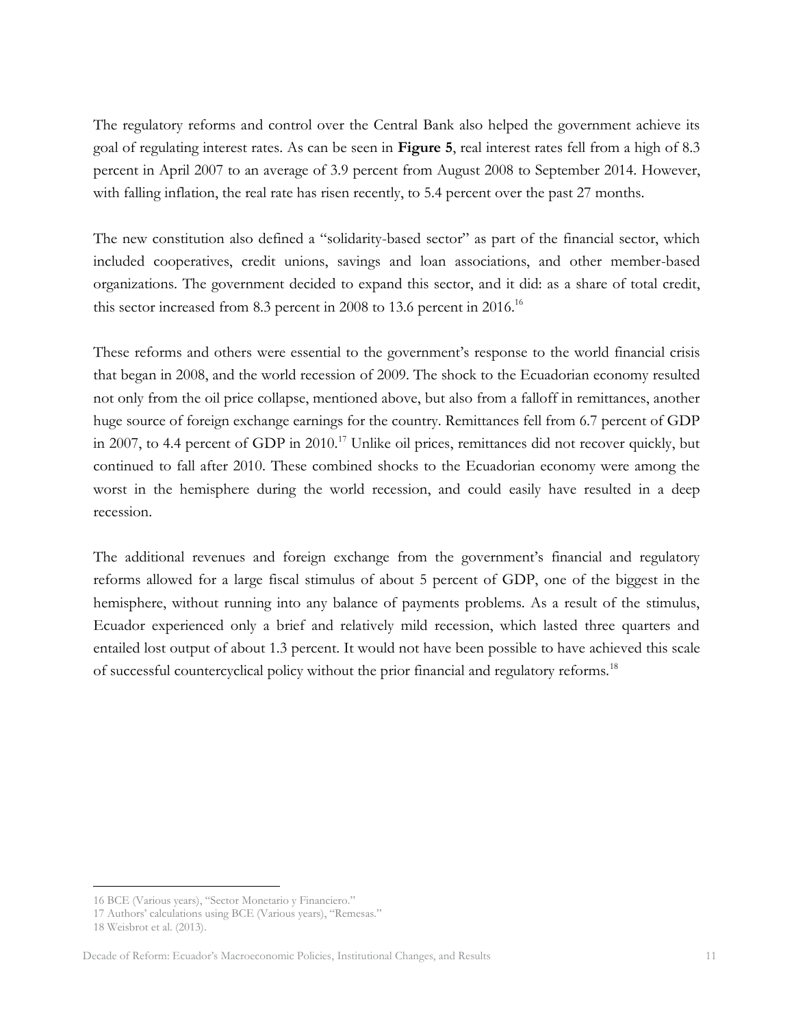The regulatory reforms and control over the Central Bank also helped the government achieve its goal of regulating interest rates. As can be seen in **Figure 5**, real interest rates fell from a high of 8.3 percent in April 2007 to an average of 3.9 percent from August 2008 to September 2014. However, with falling inflation, the real rate has risen recently, to 5.4 percent over the past 27 months.

The new constitution also defined a "solidarity-based sector" as part of the financial sector, which included cooperatives, credit unions, savings and loan associations, and other member-based organizations. The government decided to expand this sector, and it did: as a share of total credit, this sector increased from 8.3 percent in 2008 to 13.6 percent in 2016.<sup>16</sup>

These reforms and others were essential to the government's response to the world financial crisis that began in 2008, and the world recession of 2009. The shock to the Ecuadorian economy resulted not only from the oil price collapse, mentioned above, but also from a falloff in remittances, another huge source of foreign exchange earnings for the country. Remittances fell from 6.7 percent of GDP in 2007, to 4.4 percent of GDP in  $2010$ .<sup>17</sup> Unlike oil prices, remittances did not recover quickly, but continued to fall after 2010. These combined shocks to the Ecuadorian economy were among the worst in the hemisphere during the world recession, and could easily have resulted in a deep recession.

The additional revenues and foreign exchange from the government's financial and regulatory reforms allowed for a large fiscal stimulus of about 5 percent of GDP, one of the biggest in the hemisphere, without running into any balance of payments problems. As a result of the stimulus, Ecuador experienced only a brief and relatively mild recession, which lasted three quarters and entailed lost output of about 1.3 percent. It would not have been possible to have achieved this scale of successful countercyclical policy without the prior financial and regulatory reforms.<sup>18</sup>

<sup>16</sup> BCE (Various years), "Sector Monetario y Financiero."

<sup>17</sup> Authors' calculations using BCE (Various years), "Remesas."

<sup>18</sup> Weisbrot et al. (2013).

Decade of Reform: Ecuador's Macroeconomic Policies, Institutional Changes, and Results 11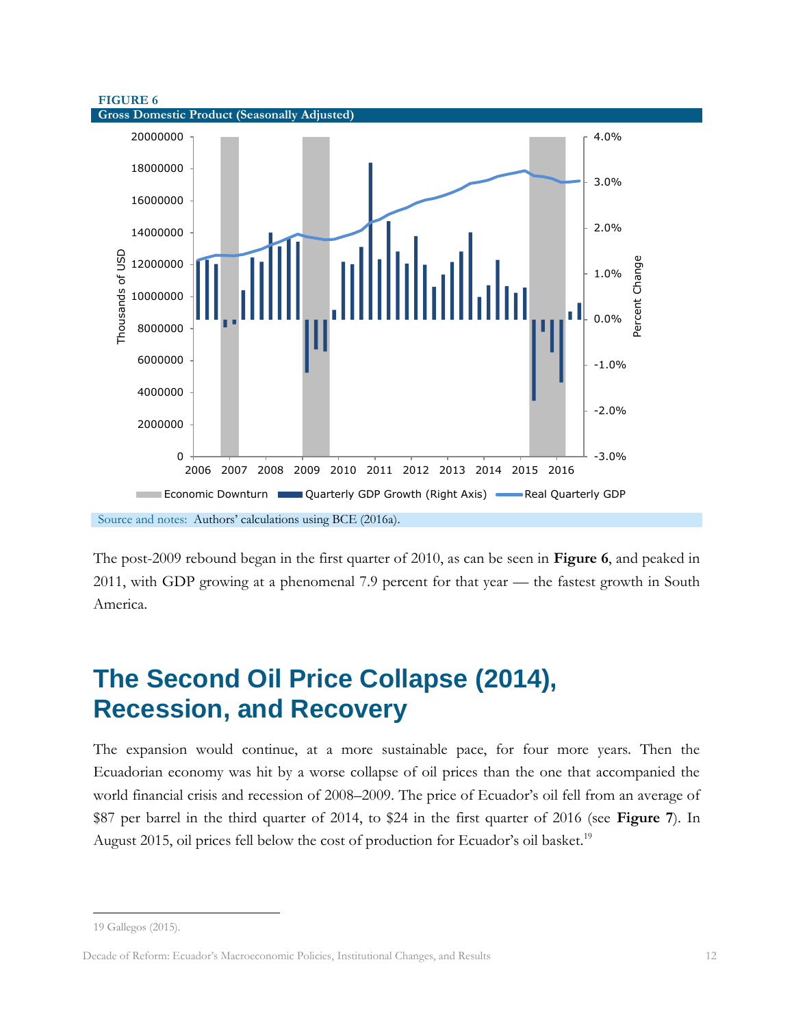



The post-2009 rebound began in the first quarter of 2010, as can be seen in **Figure 6**, and peaked in 2011, with GDP growing at a phenomenal 7.9 percent for that year — the fastest growth in South America.

# <span id="page-12-0"></span>**The Second Oil Price Collapse (2014), Recession, and Recovery**

The expansion would continue, at a more sustainable pace, for four more years. Then the Ecuadorian economy was hit by a worse collapse of oil prices than the one that accompanied the world financial crisis and recession of 2008–2009. The price of Ecuador's oil fell from an average of \$87 per barrel in the third quarter of 2014, to \$24 in the first quarter of 2016 (see **Figure 7**). In August 2015, oil prices fell below the cost of production for Ecuador's oil basket.<sup>19</sup>

<sup>19</sup> Gallegos (2015).

Decade of Reform: Ecuador's Macroeconomic Policies, Institutional Changes, and Results 12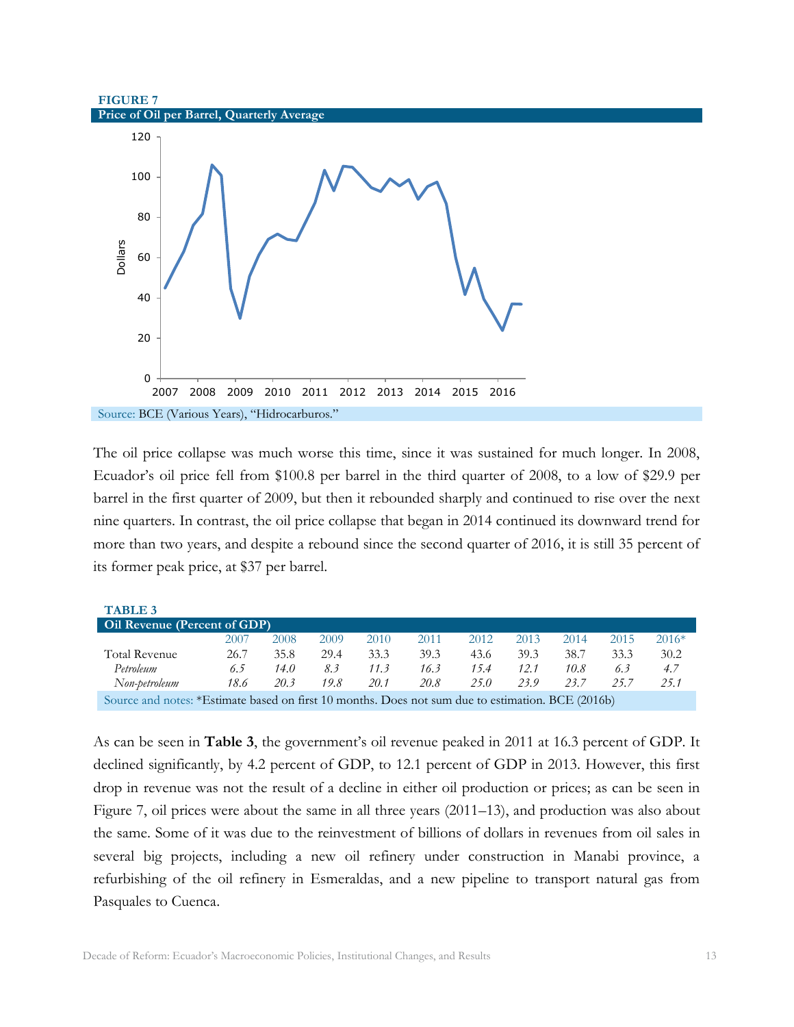#### **FIGURE 7 Price of Oil per Barrel, Quarterly Average**



Source: BCE (Various Years), "Hidrocarburos."

The oil price collapse was much worse this time, since it was sustained for much longer. In 2008, Ecuador's oil price fell from \$100.8 per barrel in the third quarter of 2008, to a low of \$29.9 per barrel in the first quarter of 2009, but then it rebounded sharply and continued to rise over the next nine quarters. In contrast, the oil price collapse that began in 2014 continued its downward trend for more than two years, and despite a rebound since the second quarter of 2016, it is still 35 percent of its former peak price, at \$37 per barrel.

| <b>TABLE 3</b>                                                                                    |      |      |      |      |      |      |      |      |      |         |
|---------------------------------------------------------------------------------------------------|------|------|------|------|------|------|------|------|------|---------|
| <b>Oil Revenue (Percent of GDP)</b>                                                               |      |      |      |      |      |      |      |      |      |         |
|                                                                                                   | 2007 | 2008 | 2009 | 2010 | 2011 | 2012 | 2013 | 2014 | 2015 | $2016*$ |
| <b>Total Revenue</b>                                                                              | 26.7 | 35.8 | 29.4 | 33.3 | 39.3 | 43.6 | 39.3 | 38.7 | 33.3 | 30.2    |
| Petroleum                                                                                         | 6.5  | 14.0 | 8.3  | 11.3 | 16.3 | 15.4 | 12.1 | 10.8 | 6.3  | 4.7     |
| Non-petroleum                                                                                     | 18.6 | 20.3 | 19.8 | 20.1 | 20.8 | 25.0 | 23.9 | 23.7 | 25.7 | 25.1    |
| Source and notes: *Estimate based on first 10 months. Does not sum due to estimation. BCE (2016b) |      |      |      |      |      |      |      |      |      |         |

As can be seen in **Table 3**, the government's oil revenue peaked in 2011 at 16.3 percent of GDP. It declined significantly, by 4.2 percent of GDP, to 12.1 percent of GDP in 2013. However, this first drop in revenue was not the result of a decline in either oil production or prices; as can be seen in Figure 7, oil prices were about the same in all three years (2011–13), and production was also about the same. Some of it was due to the reinvestment of billions of dollars in revenues from oil sales in several big projects, including a new oil refinery under construction in Manabi province, a refurbishing of the oil refinery in Esmeraldas, and a new pipeline to transport natural gas from Pasquales to Cuenca.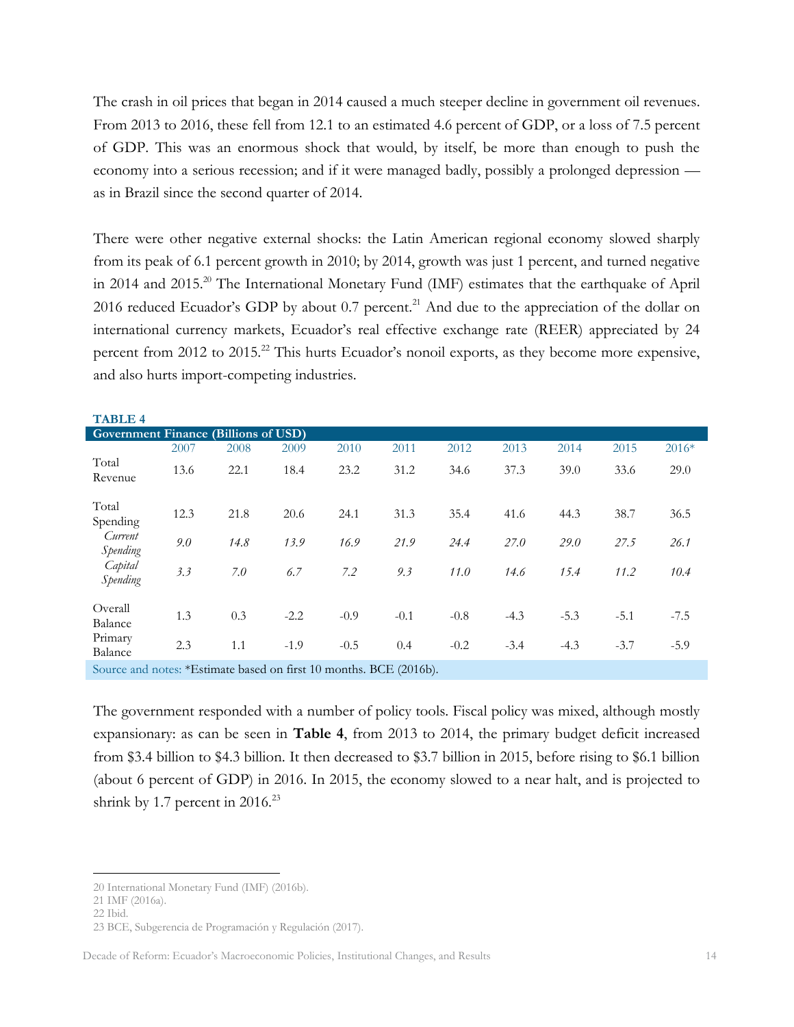The crash in oil prices that began in 2014 caused a much steeper decline in government oil revenues. From 2013 to 2016, these fell from 12.1 to an estimated 4.6 percent of GDP, or a loss of 7.5 percent of GDP. This was an enormous shock that would, by itself, be more than enough to push the economy into a serious recession; and if it were managed badly, possibly a prolonged depression as in Brazil since the second quarter of 2014.

There were other negative external shocks: the Latin American regional economy slowed sharply from its peak of 6.1 percent growth in 2010; by 2014, growth was just 1 percent, and turned negative in 2014 and 2015.<sup>20</sup> The International Monetary Fund (IMF) estimates that the earthquake of April 2016 reduced Ecuador's GDP by about 0.7 percent.<sup>21</sup> And due to the appreciation of the dollar on international currency markets, Ecuador's real effective exchange rate (REER) appreciated by 24 percent from 2012 to 2015.<sup>22</sup> This hurts Ecuador's nonoil exports, as they become more expensive, and also hurts import-competing industries.

| <b>TABLE 4</b>                              |      |      |        |        |        |        |        |        |        |         |
|---------------------------------------------|------|------|--------|--------|--------|--------|--------|--------|--------|---------|
| <b>Government Finance (Billions of USD)</b> |      |      |        |        |        |        |        |        |        |         |
|                                             | 2007 | 2008 | 2009   | 2010   | 2011   | 2012   | 2013   | 2014   | 2015   | $2016*$ |
| Total<br>Revenue                            | 13.6 | 22.1 | 18.4   | 23.2   | 31.2   | 34.6   | 37.3   | 39.0   | 33.6   | 29.0    |
| Total<br>Spending                           | 12.3 | 21.8 | 20.6   | 24.1   | 31.3   | 35.4   | 41.6   | 44.3   | 38.7   | 36.5    |
| Current<br>Spending                         | 9.0  | 14.8 | 13.9   | 16.9   | 21.9   | 24.4   | 27.0   | 29.0   | 27.5   | 26.1    |
| Capital<br>Spending                         | 3.3  | 7.0  | 6.7    | 7.2    | 9.3    | 11.0   | 14.6   | 15.4   | 11.2   | 10.4    |
| Overall<br>Balance                          | 1.3  | 0.3  | $-2.2$ | $-0.9$ | $-0.1$ | $-0.8$ | $-4.3$ | $-5.3$ | $-5.1$ | $-7.5$  |
| Primary<br>Balance                          | 2.3  | 1.1  | $-1.9$ | $-0.5$ | 0.4    | $-0.2$ | $-3.4$ | $-4.3$ | $-3.7$ | $-5.9$  |
|                                             |      |      |        |        |        |        |        |        |        |         |

Source and notes: \*Estimate based on first 10 months. BCE (2016b).

The government responded with a number of policy tools. Fiscal policy was mixed, although mostly expansionary: as can be seen in **Table 4**, from 2013 to 2014, the primary budget deficit increased from \$3.4 billion to \$4.3 billion. It then decreased to \$3.7 billion in 2015, before rising to \$6.1 billion (about 6 percent of GDP) in 2016. In 2015, the economy slowed to a near halt, and is projected to shrink by 1.7 percent in  $2016$ .<sup>23</sup>

<sup>20</sup> International Monetary Fund (IMF) (2016b).

<sup>21</sup> IMF (2016a).

<sup>22</sup> Ibid.

<sup>23</sup> BCE, Subgerencia de Programación y Regulación (2017).

Decade of Reform: Ecuador's Macroeconomic Policies, Institutional Changes, and Results 14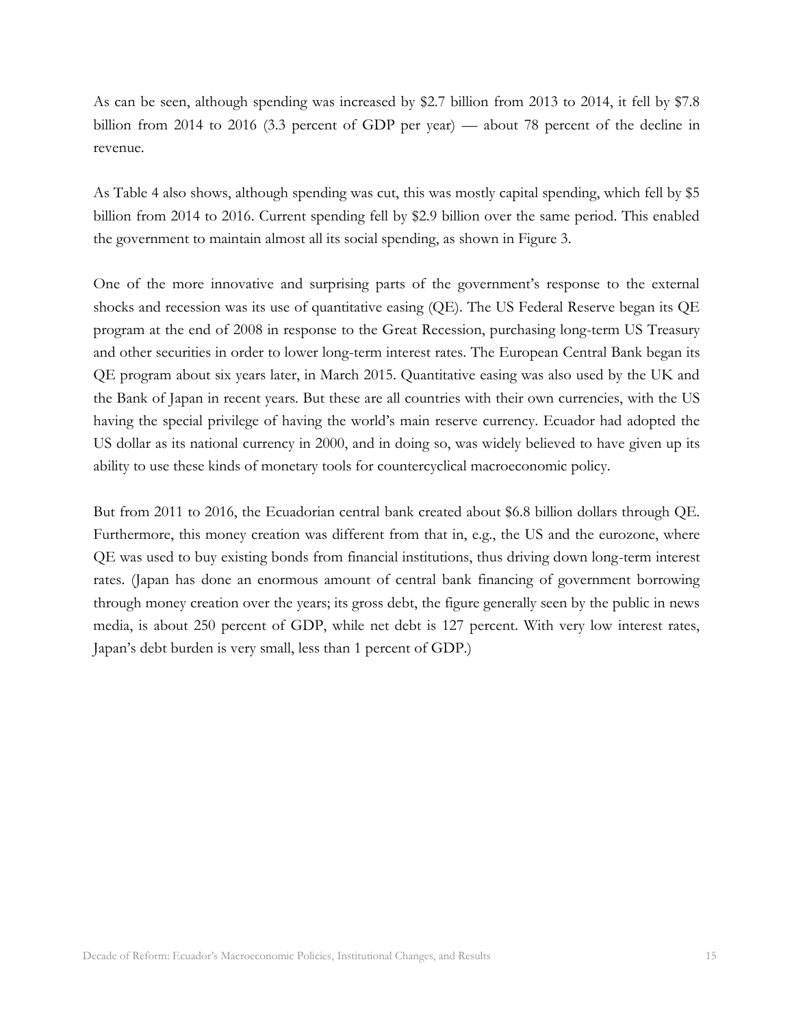As can be seen, although spending was increased by \$2.7 billion from 2013 to 2014, it fell by \$7.8 billion from 2014 to 2016 (3.3 percent of GDP per year) — about 78 percent of the decline in revenue.

As Table 4 also shows, although spending was cut, this was mostly capital spending, which fell by \$5 billion from 2014 to 2016. Current spending fell by \$2.9 billion over the same period. This enabled the government to maintain almost all its social spending, as shown in Figure 3.

One of the more innovative and surprising parts of the government's response to the external shocks and recession was its use of quantitative easing (QE). The US Federal Reserve began its QE program at the end of 2008 in response to the Great Recession, purchasing long-term US Treasury and other securities in order to lower long-term interest rates. The European Central Bank began its QE program about six years later, in March 2015. Quantitative easing was also used by the UK and the Bank of Japan in recent years. But these are all countries with their own currencies, with the US having the special privilege of having the world's main reserve currency. Ecuador had adopted the US dollar as its national currency in 2000, and in doing so, was widely believed to have given up its ability to use these kinds of monetary tools for countercyclical macroeconomic policy.

But from 2011 to 2016, the Ecuadorian central bank created about \$6.8 billion dollars through QE. Furthermore, this money creation was different from that in, e.g., the US and the eurozone, where QE was used to buy existing bonds from financial institutions, thus driving down long-term interest rates. (Japan has done an enormous amount of central bank financing of government borrowing through money creation over the years; its gross debt, the figure generally seen by the public in news media, is about 250 percent of GDP, while net debt is 127 percent. With very low interest rates, Japan's debt burden is very small, less than 1 percent of GDP.)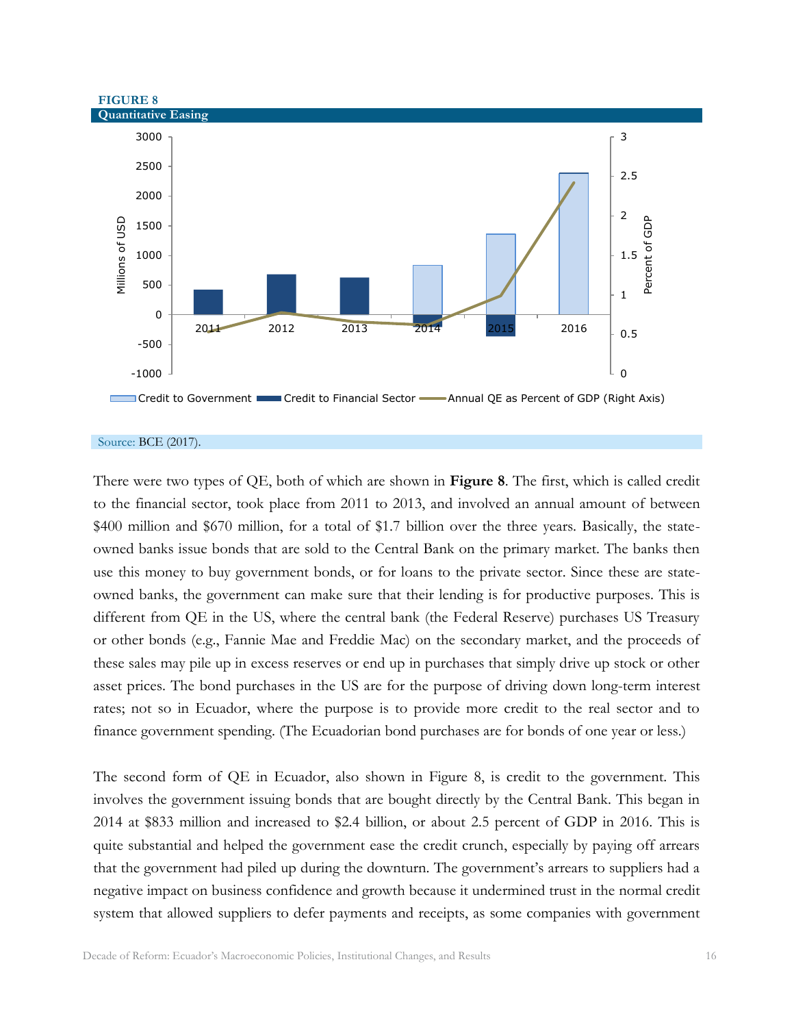

#### Source: BCE (2017).

There were two types of QE, both of which are shown in **Figure 8**. The first, which is called credit to the financial sector, took place from 2011 to 2013, and involved an annual amount of between \$400 million and \$670 million, for a total of \$1.7 billion over the three years. Basically, the stateowned banks issue bonds that are sold to the Central Bank on the primary market. The banks then use this money to buy government bonds, or for loans to the private sector. Since these are stateowned banks, the government can make sure that their lending is for productive purposes. This is different from QE in the US, where the central bank (the Federal Reserve) purchases US Treasury or other bonds (e.g., Fannie Mae and Freddie Mac) on the secondary market, and the proceeds of these sales may pile up in excess reserves or end up in purchases that simply drive up stock or other asset prices. The bond purchases in the US are for the purpose of driving down long-term interest rates; not so in Ecuador, where the purpose is to provide more credit to the real sector and to finance government spending. (The Ecuadorian bond purchases are for bonds of one year or less.)

The second form of QE in Ecuador, also shown in Figure 8, is credit to the government. This involves the government issuing bonds that are bought directly by the Central Bank. This began in 2014 at \$833 million and increased to \$2.4 billion, or about 2.5 percent of GDP in 2016. This is quite substantial and helped the government ease the credit crunch, especially by paying off arrears that the government had piled up during the downturn. The government's arrears to suppliers had a negative impact on business confidence and growth because it undermined trust in the normal credit system that allowed suppliers to defer payments and receipts, as some companies with government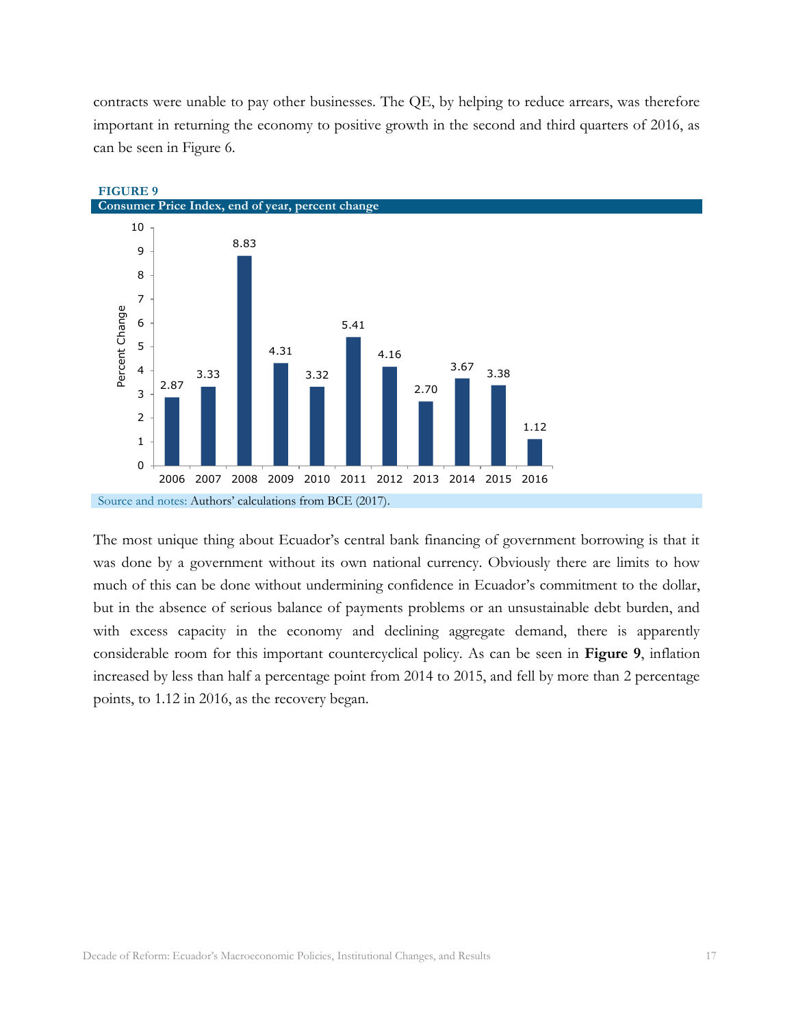contracts were unable to pay other businesses. The QE, by helping to reduce arrears, was therefore important in returning the economy to positive growth in the second and third quarters of 2016, as can be seen in Figure 6.



The most unique thing about Ecuador's central bank financing of government borrowing is that it was done by a government without its own national currency. Obviously there are limits to how much of this can be done without undermining confidence in Ecuador's commitment to the dollar, but in the absence of serious balance of payments problems or an unsustainable debt burden, and with excess capacity in the economy and declining aggregate demand, there is apparently considerable room for this important countercyclical policy. As can be seen in **Figure 9**, inflation increased by less than half a percentage point from 2014 to 2015, and fell by more than 2 percentage points, to 1.12 in 2016, as the recovery began.

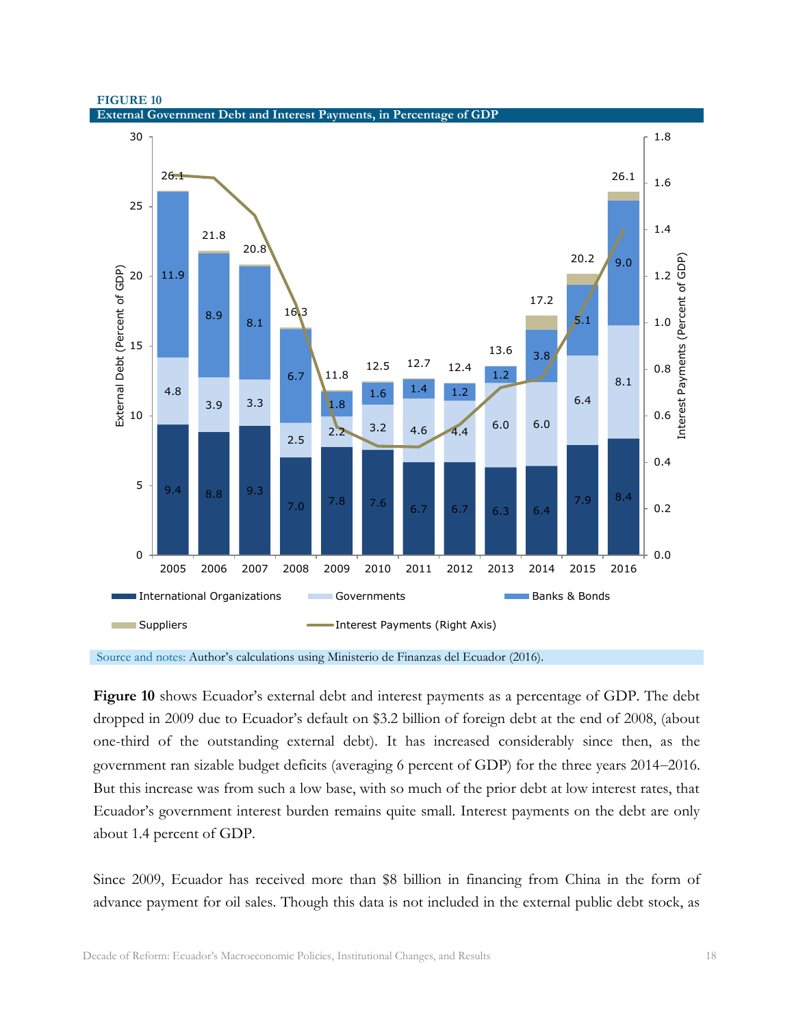



Source and notes: Author's calculations using Ministerio de Finanzas del Ecuador (2016).

**Figure 10** shows Ecuador's external debt and interest payments as a percentage of GDP. The debt dropped in 2009 due to Ecuador's default on \$3.2 billion of foreign debt at the end of 2008, (about one-third of the outstanding external debt). It has increased considerably since then, as the government ran sizable budget deficits (averaging 6 percent of GDP) for the three years 2014–2016. But this increase was from such a low base, with so much of the prior debt at low interest rates, that Ecuador's government interest burden remains quite small. Interest payments on the debt are only about 1.4 percent of GDP.

Since 2009, Ecuador has received more than \$8 billion in financing from China in the form of advance payment for oil sales. Though this data is not included in the external public debt stock, as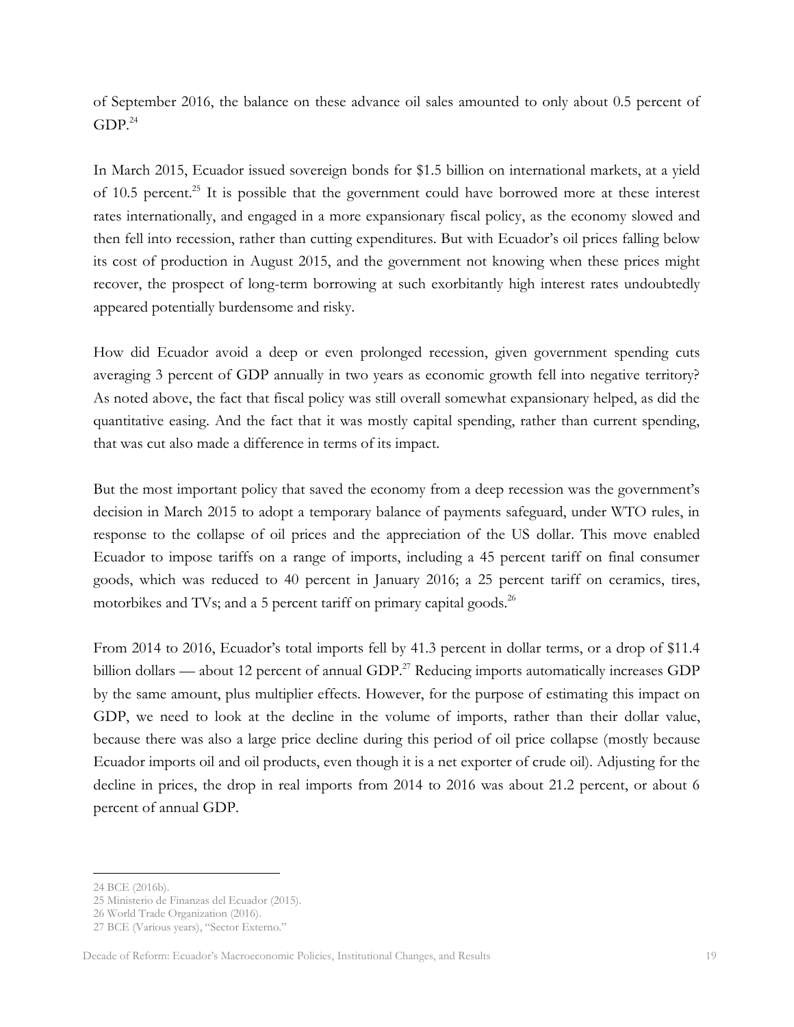of September 2016, the balance on these advance oil sales amounted to only about 0.5 percent of  $GDP<sup>24</sup>$ 

In March 2015, Ecuador issued sovereign bonds for \$1.5 billion on international markets, at a yield of 10.5 percent.<sup>25</sup> It is possible that the government could have borrowed more at these interest rates internationally, and engaged in a more expansionary fiscal policy, as the economy slowed and then fell into recession, rather than cutting expenditures. But with Ecuador's oil prices falling below its cost of production in August 2015, and the government not knowing when these prices might recover, the prospect of long-term borrowing at such exorbitantly high interest rates undoubtedly appeared potentially burdensome and risky.

How did Ecuador avoid a deep or even prolonged recession, given government spending cuts averaging 3 percent of GDP annually in two years as economic growth fell into negative territory? As noted above, the fact that fiscal policy was still overall somewhat expansionary helped, as did the quantitative easing. And the fact that it was mostly capital spending, rather than current spending, that was cut also made a difference in terms of its impact.

But the most important policy that saved the economy from a deep recession was the government's decision in March 2015 to adopt a temporary balance of payments safeguard, under WTO rules, in response to the collapse of oil prices and the appreciation of the US dollar. This move enabled Ecuador to impose tariffs on a range of imports, including a 45 percent tariff on final consumer goods, which was reduced to 40 percent in January 2016; a 25 percent tariff on ceramics, tires, motorbikes and TVs; and a 5 percent tariff on primary capital goods.<sup>26</sup>

From 2014 to 2016, Ecuador's total imports fell by 41.3 percent in dollar terms, or a drop of \$11.4 billion dollars — about 12 percent of annual GDP.<sup>27</sup> Reducing imports automatically increases GDP by the same amount, plus multiplier effects. However, for the purpose of estimating this impact on GDP, we need to look at the decline in the volume of imports, rather than their dollar value, because there was also a large price decline during this period of oil price collapse (mostly because Ecuador imports oil and oil products, even though it is a net exporter of crude oil). Adjusting for the decline in prices, the drop in real imports from 2014 to 2016 was about 21.2 percent, or about 6 percent of annual GDP.

<sup>24</sup> BCE (2016b).

<sup>25</sup> Ministerio de Finanzas del Ecuador (2015).

<sup>26</sup> World Trade Organization (2016).

<sup>27</sup> BCE (Various years), "Sector Externo."

Decade of Reform: Ecuador's Macroeconomic Policies, Institutional Changes, and Results 19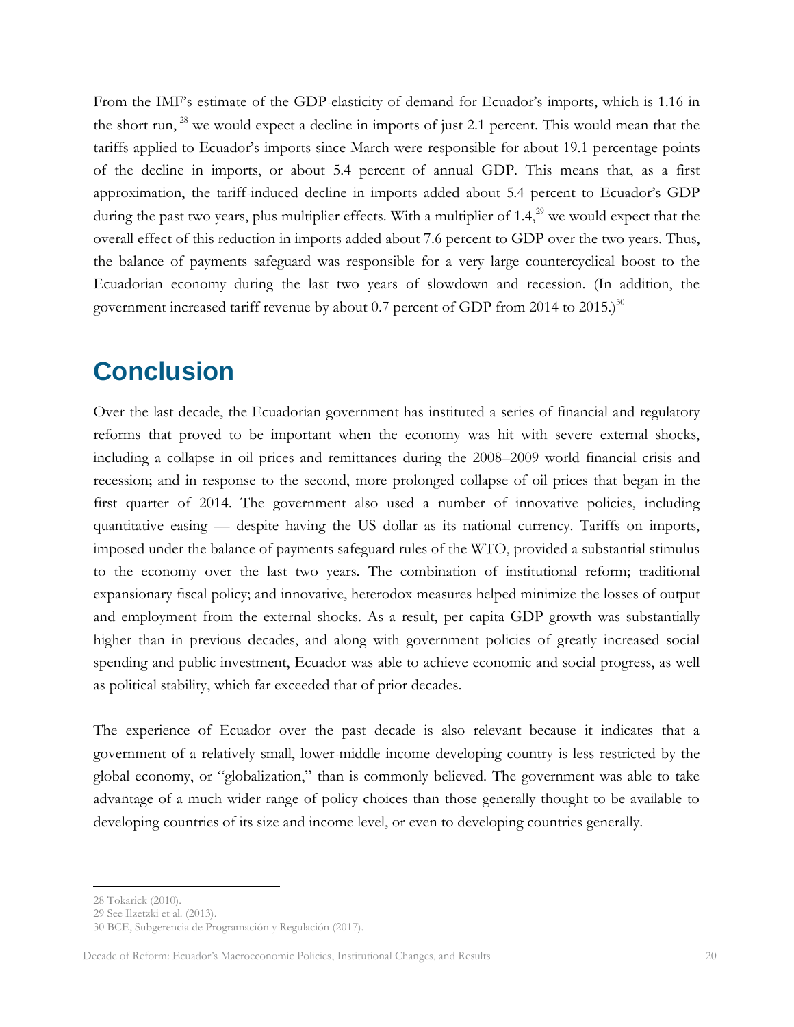From the IMF's estimate of the GDP-elasticity of demand for Ecuador's imports, which is 1.16 in the short run, <sup>28</sup> we would expect a decline in imports of just 2.1 percent. This would mean that the tariffs applied to Ecuador's imports since March were responsible for about 19.1 percentage points of the decline in imports, or about 5.4 percent of annual GDP. This means that, as a first approximation, the tariff-induced decline in imports added about 5.4 percent to Ecuador's GDP during the past two years, plus multiplier effects. With a multiplier of  $1.4$ ,<sup>29</sup> we would expect that the overall effect of this reduction in imports added about 7.6 percent to GDP over the two years. Thus, the balance of payments safeguard was responsible for a very large countercyclical boost to the Ecuadorian economy during the last two years of slowdown and recession. (In addition, the government increased tariff revenue by about 0.7 percent of GDP from 2014 to  $2015$ .)<sup>30</sup>

#### <span id="page-20-0"></span>**Conclusion**

Over the last decade, the Ecuadorian government has instituted a series of financial and regulatory reforms that proved to be important when the economy was hit with severe external shocks, including a collapse in oil prices and remittances during the 2008–2009 world financial crisis and recession; and in response to the second, more prolonged collapse of oil prices that began in the first quarter of 2014. The government also used a number of innovative policies, including quantitative easing — despite having the US dollar as its national currency. Tariffs on imports, imposed under the balance of payments safeguard rules of the WTO, provided a substantial stimulus to the economy over the last two years. The combination of institutional reform; traditional expansionary fiscal policy; and innovative, heterodox measures helped minimize the losses of output and employment from the external shocks. As a result, per capita GDP growth was substantially higher than in previous decades, and along with government policies of greatly increased social spending and public investment, Ecuador was able to achieve economic and social progress, as well as political stability, which far exceeded that of prior decades.

The experience of Ecuador over the past decade is also relevant because it indicates that a government of a relatively small, lower-middle income developing country is less restricted by the global economy, or "globalization," than is commonly believed. The government was able to take advantage of a much wider range of policy choices than those generally thought to be available to developing countries of its size and income level, or even to developing countries generally.

<sup>28</sup> Tokarick (2010).

<sup>29</sup> See Ilzetzki et al. (2013).

<sup>30</sup> BCE, Subgerencia de Programación y Regulación (2017).

Decade of Reform: Ecuador's Macroeconomic Policies, Institutional Changes, and Results 20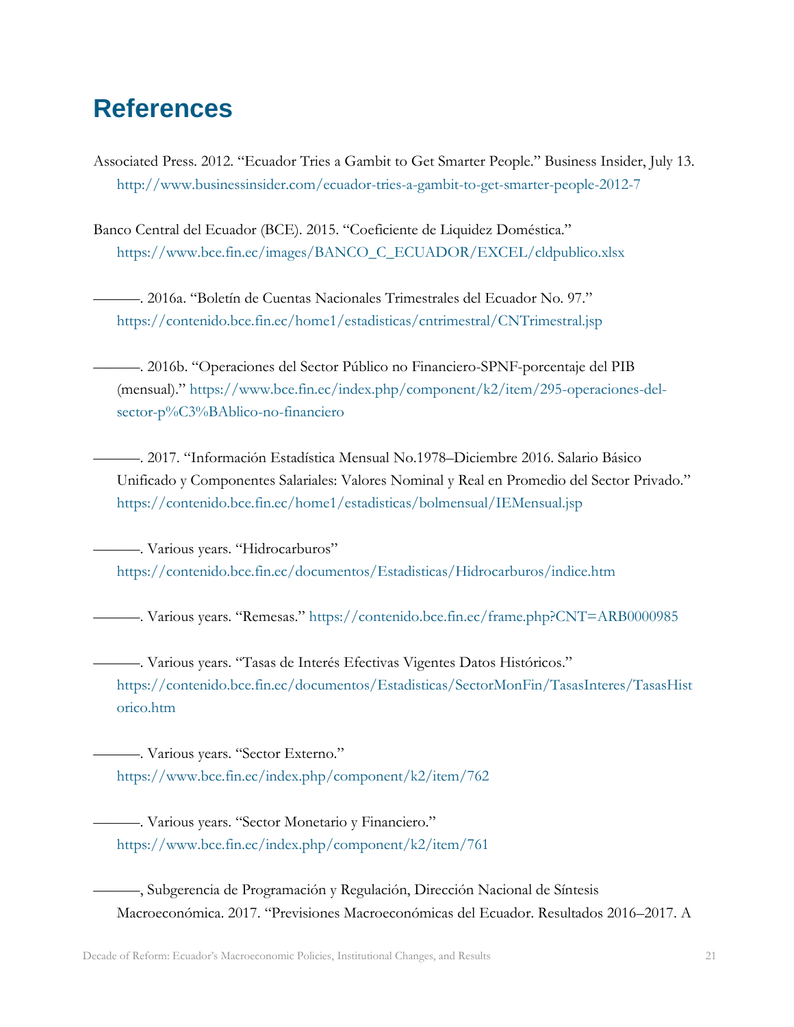## <span id="page-21-0"></span>**References**

- Associated Press. 2012. "Ecuador Tries a Gambit to Get Smarter People." Business Insider, July 13. <http://www.businessinsider.com/ecuador-tries-a-gambit-to-get-smarter-people-2012-7>
- Banco Central del Ecuador (BCE). 2015. "Coeficiente de Liquidez Doméstica." [https://www.bce.fin.ec/images/BANCO\\_C\\_ECUADOR/EXCEL/cldpublico.xlsx](https://www.bce.fin.ec/images/BANCO_C_ECUADOR/EXCEL/cldpublico.xlsx)
	- ———. 2016a. "Boletín de Cuentas Nacionales Trimestrales del Ecuador No. 97." <https://contenido.bce.fin.ec/home1/estadisticas/cntrimestral/CNTrimestral.jsp>
	- ———. 2016b. "Operaciones del Sector Público no Financiero-SPNF-porcentaje del PIB (mensual)." [https://www.bce.fin.ec/index.php/component/k2/item/295-operaciones-del](https://www.bce.fin.ec/index.php/component/k2/item/295-operaciones-del-sector-p%C3%BAblico-no-financiero)[sector-p%C3%BAblico-no-financiero](https://www.bce.fin.ec/index.php/component/k2/item/295-operaciones-del-sector-p%C3%BAblico-no-financiero)
	- ———. 2017. "Información Estadística Mensual No.1978–Diciembre 2016. Salario Básico Unificado y Componentes Salariales: Valores Nominal y Real en Promedio del Sector Privado." <https://contenido.bce.fin.ec/home1/estadisticas/bolmensual/IEMensual.jsp>

———. Various years. "Hidrocarburos" <https://contenido.bce.fin.ec/documentos/Estadisticas/Hidrocarburos/indice.htm>

———. Various years. "Remesas." <https://contenido.bce.fin.ec/frame.php?CNT=ARB0000985>

———. Various years. "Tasas de Interés Efectivas Vigentes Datos Históricos." [https://contenido.bce.fin.ec/documentos/Estadisticas/SectorMonFin/TasasInteres/TasasHist](https://contenido.bce.fin.ec/documentos/Estadisticas/SectorMonFin/TasasInteres/TasasHistorico.htm) [orico.htm](https://contenido.bce.fin.ec/documentos/Estadisticas/SectorMonFin/TasasInteres/TasasHistorico.htm)

———. Various years. "Sector Externo." <https://www.bce.fin.ec/index.php/component/k2/item/762>

———. Various years. "Sector Monetario y Financiero." <https://www.bce.fin.ec/index.php/component/k2/item/761>

———, Subgerencia de Programación y Regulación, Dirección Nacional de Síntesis Macroeconómica. 2017. "Previsiones Macroeconómicas del Ecuador. Resultados 2016–2017. A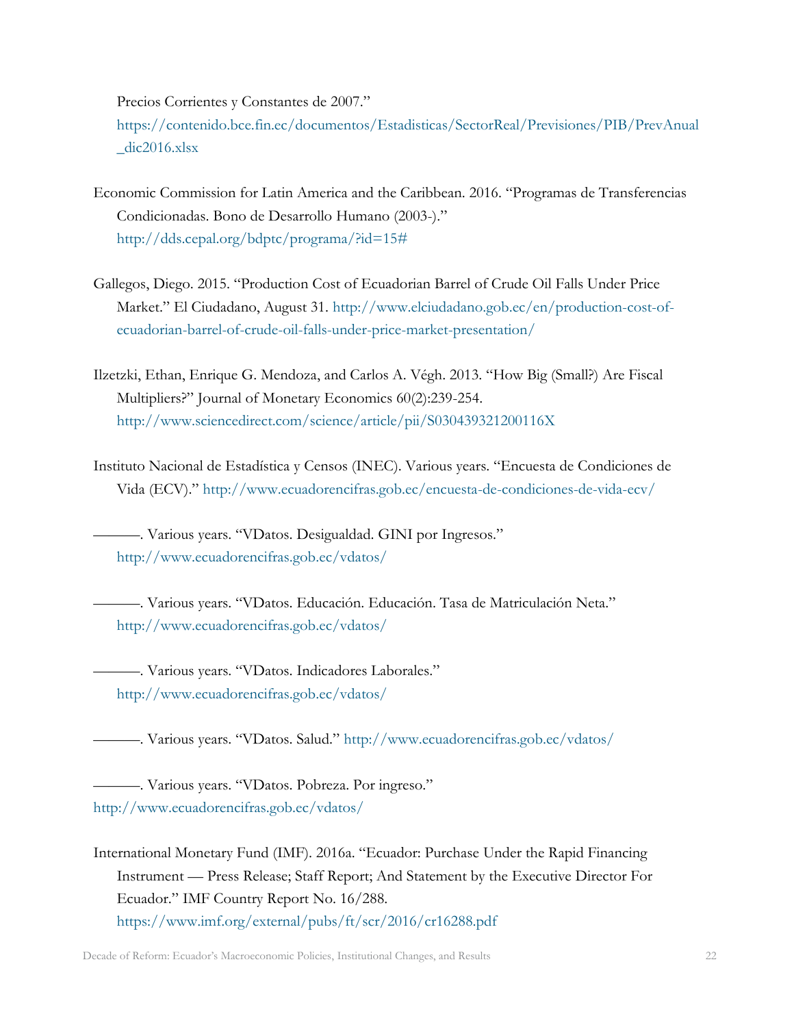Precios Corrientes y Constantes de 2007."

[https://contenido.bce.fin.ec/documentos/Estadisticas/SectorReal/Previsiones/PIB/PrevAnual](https://contenido.bce.fin.ec/documentos/Estadisticas/SectorReal/Previsiones/PIB/PrevAnual_dic2016.xlsx)  $idic2016.x$ lsx

- Economic Commission for Latin America and the Caribbean. 2016. "Programas de Transferencias Condicionadas. Bono de Desarrollo Humano (2003-)." [http://dds.cepal.org/bdptc/programa/?id=15#](http://dds.cepal.org/bdptc/programa/?id=15)
- Gallegos, Diego. 2015. "Production Cost of Ecuadorian Barrel of Crude Oil Falls Under Price Market." El Ciudadano, August 31. [http://www.elciudadano.gob.ec/en/production-cost-of](http://www.elciudadano.gob.ec/en/production-cost-of-ecuadorian-barrel-of-crude-oil-falls-under-price-market-presentation/)[ecuadorian-barrel-of-crude-oil-falls-under-price-market-presentation/](http://www.elciudadano.gob.ec/en/production-cost-of-ecuadorian-barrel-of-crude-oil-falls-under-price-market-presentation/)
- Ilzetzki, Ethan, Enrique G. Mendoza, and Carlos A. Végh. 2013. "How Big (Small?) Are Fiscal Multipliers?" Journal of Monetary Economics 60(2):239-254. <http://www.sciencedirect.com/science/article/pii/S030439321200116X>
- Instituto Nacional de Estadística y Censos (INEC). Various years. "Encuesta de Condiciones de Vida (ECV)." <http://www.ecuadorencifras.gob.ec/encuesta-de-condiciones-de-vida-ecv/>

———. Various years. "VDatos. Desigualdad. GINI por Ingresos." <http://www.ecuadorencifras.gob.ec/vdatos/>

———. Various years. "VDatos. Educación. Educación. Tasa de Matriculación Neta." <http://www.ecuadorencifras.gob.ec/vdatos/>

———. Various years. "VDatos. Indicadores Laborales." <http://www.ecuadorencifras.gob.ec/vdatos/>

———. Various years. "VDatos. Salud." <http://www.ecuadorencifras.gob.ec/vdatos/>

———. Various years. "VDatos. Pobreza. Por ingreso." <http://www.ecuadorencifras.gob.ec/vdatos/>

International Monetary Fund (IMF). 2016a. "Ecuador: Purchase Under the Rapid Financing Instrument — Press Release; Staff Report; And Statement by the Executive Director For Ecuador." IMF Country Report No. 16/288. <https://www.imf.org/external/pubs/ft/scr/2016/cr16288.pdf>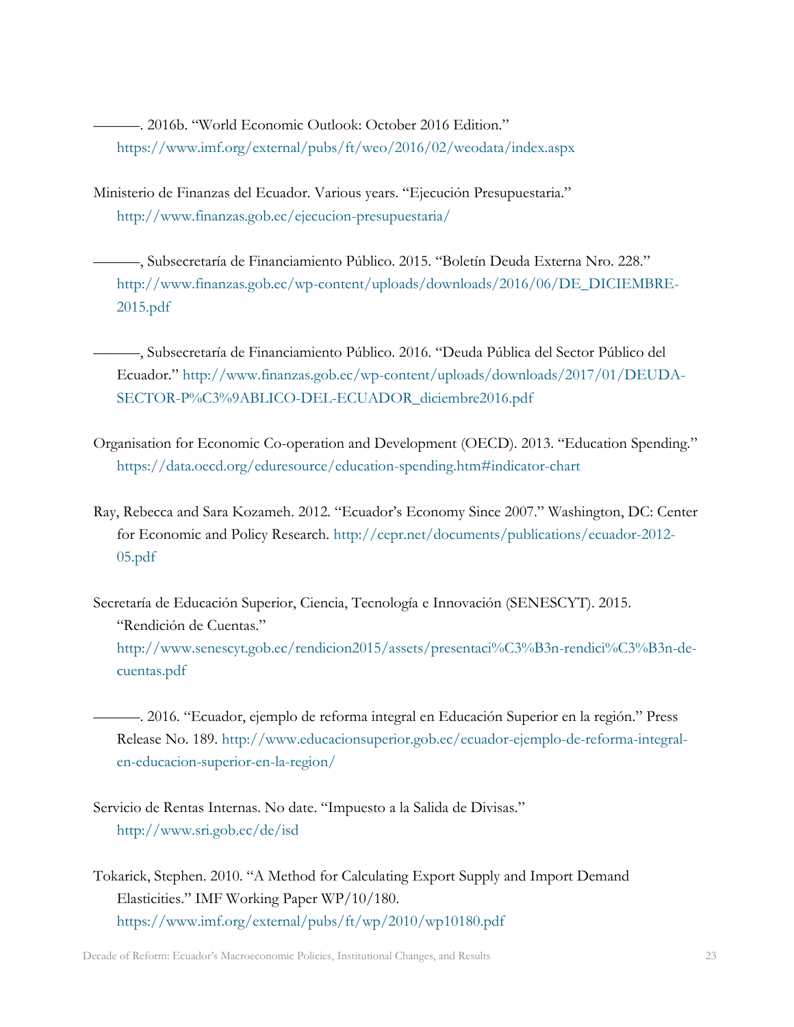———. 2016b. "World Economic Outlook: October 2016 Edition." <https://www.imf.org/external/pubs/ft/weo/2016/02/weodata/index.aspx>

Ministerio de Finanzas del Ecuador. Various years. "Ejecución Presupuestaria." <http://www.finanzas.gob.ec/ejecucion-presupuestaria/>

———, Subsecretaría de Financiamiento Público. 2015. "Boletín Deuda Externa Nro. 228." [http://www.finanzas.gob.ec/wp-content/uploads/downloads/2016/06/DE\\_DICIEMBRE-](http://www.finanzas.gob.ec/wp-content/uploads/downloads/2016/06/DE_DICIEMBRE-2015.pdf)[2015.pdf](http://www.finanzas.gob.ec/wp-content/uploads/downloads/2016/06/DE_DICIEMBRE-2015.pdf)

———, Subsecretaría de Financiamiento Público. 2016. "Deuda Pública del Sector Público del Ecuador." [http://www.finanzas.gob.ec/wp-content/uploads/downloads/2017/01/DEUDA-](http://www.finanzas.gob.ec/wp-content/uploads/downloads/2017/01/DEUDA-SECTOR-P%C3%9ABLICO-DEL-ECUADOR_diciembre2016.pdf)[SECTOR-P%C3%9ABLICO-DEL-ECUADOR\\_diciembre2016.pdf](http://www.finanzas.gob.ec/wp-content/uploads/downloads/2017/01/DEUDA-SECTOR-P%C3%9ABLICO-DEL-ECUADOR_diciembre2016.pdf)

Organisation for Economic Co-operation and Development (OECD). 2013. "Education Spending." <https://data.oecd.org/eduresource/education-spending.htm#indicator-chart>

Ray, Rebecca and Sara Kozameh. 2012. "Ecuador's Economy Since 2007." Washington, DC: Center for Economic and Policy Research. [http://cepr.net/documents/publications/ecuador-2012-](http://cepr.net/documents/publications/ecuador-2012-05.pdf) [05.pdf](http://cepr.net/documents/publications/ecuador-2012-05.pdf)

Secretaría de Educación Superior, Ciencia, Tecnología e Innovación (SENESCYT). 2015. "Rendición de Cuentas." [http://www.senescyt.gob.ec/rendicion2015/assets/presentaci%C3%B3n-rendici%C3%B3n-de](http://www.senescyt.gob.ec/rendicion2015/assets/presentaci%C3%B3n-rendici%C3%B3n-de-cuentas.pdf)[cuentas.pdf](http://www.senescyt.gob.ec/rendicion2015/assets/presentaci%C3%B3n-rendici%C3%B3n-de-cuentas.pdf)

———. 2016. "Ecuador, ejemplo de reforma integral en Educación Superior en la región." Press Release No. 189. [http://www.educacionsuperior.gob.ec/ecuador-ejemplo-de-reforma-integral](http://www.educacionsuperior.gob.ec/ecuador-ejemplo-de-reforma-integral-en-educacion-superior-en-la-region/)[en-educacion-superior-en-la-region/](http://www.educacionsuperior.gob.ec/ecuador-ejemplo-de-reforma-integral-en-educacion-superior-en-la-region/)

Servicio de Rentas Internas. No date. "Impuesto a la Salida de Divisas." <http://www.sri.gob.ec/de/isd>

Tokarick, Stephen. 2010. "A Method for Calculating Export Supply and Import Demand Elasticities." IMF Working Paper WP/10/180. <https://www.imf.org/external/pubs/ft/wp/2010/wp10180.pdf>